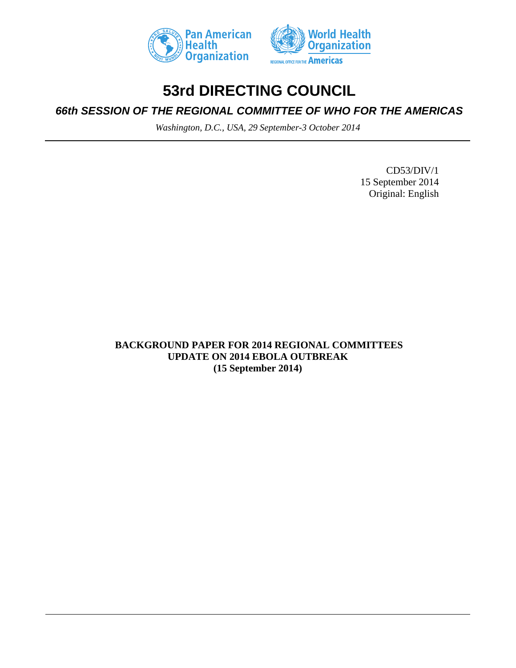



# **53rd DIRECTING COUNCIL**

*66th SESSION OF THE REGIONAL COMMITTEE OF WHO FOR THE AMERICAS*

*Washington, D.C., USA, 29 September-3 October 2014*

CD53/DIV/1 15 September 2014 Original: English

**BACKGROUND PAPER FOR 2014 REGIONAL COMMITTEES UPDATE ON 2014 EBOLA OUTBREAK (15 September 2014)**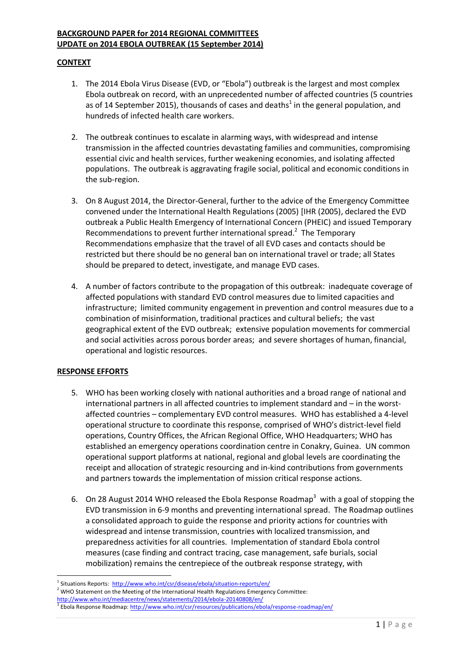#### **BACKGROUND PAPER for 2014 REGIONAL COMMITTEES UPDATE on 2014 EBOLA OUTBREAK (15 September 2014)**

## **CONTEXT**

- 1. The 2014 Ebola Virus Disease (EVD, or "Ebola") outbreak is the largest and most complex Ebola outbreak on record, with an unprecedented number of affected countries (5 countries as of 14 September 2015), thousands of cases and deaths<sup>1</sup> in the general population, and hundreds of infected health care workers.
- 2. The outbreak continues to escalate in alarming ways, with widespread and intense transmission in the affected countries devastating families and communities, compromising essential civic and health services, further weakening economies, and isolating affected populations. The outbreak is aggravating fragile social, political and economic conditions in the sub-region.
- 3. On 8 August 2014, the Director-General, further to the advice of the Emergency Committee convened under the International Health Regulations (2005) [IHR (2005), declared the EVD outbreak a Public Health Emergency of International Concern (PHEIC) and issued Temporary Recommendations to prevent further international spread.<sup>2</sup> The Temporary Recommendations emphasize that the travel of all EVD cases and contacts should be restricted but there should be no general ban on international travel or trade; all States should be prepared to detect, investigate, and manage EVD cases.
- 4. A number of factors contribute to the propagation of this outbreak: inadequate coverage of affected populations with standard EVD control measures due to limited capacities and infrastructure; limited community engagement in prevention and control measures due to a combination of misinformation, traditional practices and cultural beliefs; the vast geographical extent of the EVD outbreak; extensive population movements for commercial and social activities across porous border areas; and severe shortages of human, financial, operational and logistic resources.

#### **RESPONSE EFFORTS**

- 5. WHO has been working closely with national authorities and a broad range of national and international partners in all affected countries to implement standard and – in the worstaffected countries – complementary EVD control measures. WHO has established a 4-level operational structure to coordinate this response, comprised of WHO's district-level field operations, Country Offices, the African Regional Office, WHO Headquarters; WHO has established an emergency operations coordination centre in Conakry, Guinea. UN common operational support platforms at national, regional and global levels are coordinating the receipt and allocation of strategic resourcing and in-kind contributions from governments and partners towards the implementation of mission critical response actions.
- 6. On 28 August 2014 WHO released the Ebola Response Roadmap<sup>3</sup> with a goal of stopping the EVD transmission in 6-9 months and preventing international spread. The Roadmap outlines a consolidated approach to guide the response and priority actions for countries with widespread and intense transmission, countries with localized transmission, and preparedness activities for all countries. Implementation of standard Ebola control measures (case finding and contract tracing, case management, safe burials, social mobilization) remains the centrepiece of the outbreak response strategy, with

<sup>1</sup> <sup>1</sup> Situations Reports:<http://www.who.int/csr/disease/ebola/situation-reports/en/>

<sup>&</sup>lt;sup>2</sup> WHO Statement on the Meeting of the International Health Regulations Emergency Committee:

<http://www.who.int/mediacentre/news/statements/2014/ebola-20140808/en/>

<sup>&</sup>lt;sup>3</sup> Ebola Response Roadmap: <u>http://www.who.int/csr/resources/publications/ebola/response-roadmap/en/</u>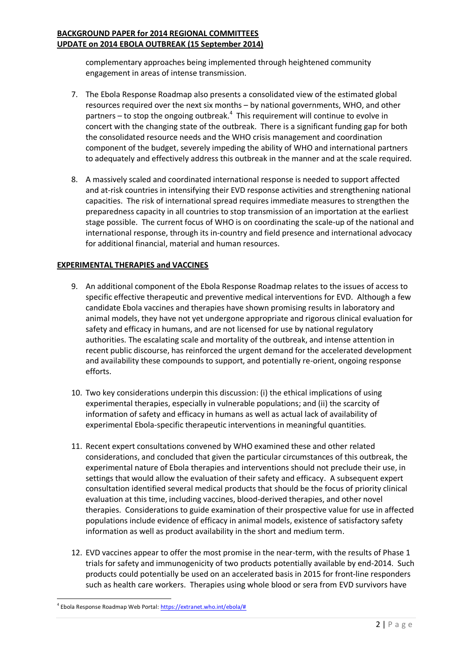## **BACKGROUND PAPER for 2014 REGIONAL COMMITTEES UPDATE on 2014 EBOLA OUTBREAK (15 September 2014)**

complementary approaches being implemented through heightened community engagement in areas of intense transmission.

- 7. The Ebola Response Roadmap also presents a consolidated view of the estimated global resources required over the next six months – by national governments, WHO, and other partners  $-$  to stop the ongoing outbreak. $4$  This requirement will continue to evolve in concert with the changing state of the outbreak. There is a significant funding gap for both the consolidated resource needs and the WHO crisis management and coordination component of the budget, severely impeding the ability of WHO and international partners to adequately and effectively address this outbreak in the manner and at the scale required.
- 8. A massively scaled and coordinated international response is needed to support affected and at-risk countries in intensifying their EVD response activities and strengthening national capacities. The risk of international spread requires immediate measures to strengthen the preparedness capacity in all countries to stop transmission of an importation at the earliest stage possible. The current focus of WHO is on coordinating the scale-up of the national and international response, through its in-country and field presence and international advocacy for additional financial, material and human resources.

# **EXPERIMENTAL THERAPIES and VACCINES**

- 9. An additional component of the Ebola Response Roadmap relates to the issues of access to specific effective therapeutic and preventive medical interventions for EVD. Although a few candidate Ebola vaccines and therapies have shown promising results in laboratory and animal models, they have not yet undergone appropriate and rigorous clinical evaluation for safety and efficacy in humans, and are not licensed for use by national regulatory authorities. The escalating scale and mortality of the outbreak, and intense attention in recent public discourse, has reinforced the urgent demand for the accelerated development and availability these compounds to support, and potentially re-orient, ongoing response efforts.
- 10. Two key considerations underpin this discussion: (i) the ethical implications of using experimental therapies, especially in vulnerable populations; and (ii) the scarcity of information of safety and efficacy in humans as well as actual lack of availability of experimental Ebola-specific therapeutic interventions in meaningful quantities.
- 11. Recent expert consultations convened by WHO examined these and other related considerations, and concluded that given the particular circumstances of this outbreak, the experimental nature of Ebola therapies and interventions should not preclude their use, in settings that would allow the evaluation of their safety and efficacy. A subsequent expert consultation identified several medical products that should be the focus of priority clinical evaluation at this time, including vaccines, blood-derived therapies, and other novel therapies. Considerations to guide examination of their prospective value for use in affected populations include evidence of efficacy in animal models, existence of satisfactory safety information as well as product availability in the short and medium term.
- 12. EVD vaccines appear to offer the most promise in the near-term, with the results of Phase 1 trials for safety and immunogenicity of two products potentially available by end-2014. Such products could potentially be used on an accelerated basis in 2015 for front-line responders such as health care workers. Therapies using whole blood or sera from EVD survivors have

1

<sup>&</sup>lt;sup>4</sup> Ebola Response Roadmap Web Portal[: https://extranet.who.int/ebola/#](https://extranet.who.int/ebola/)